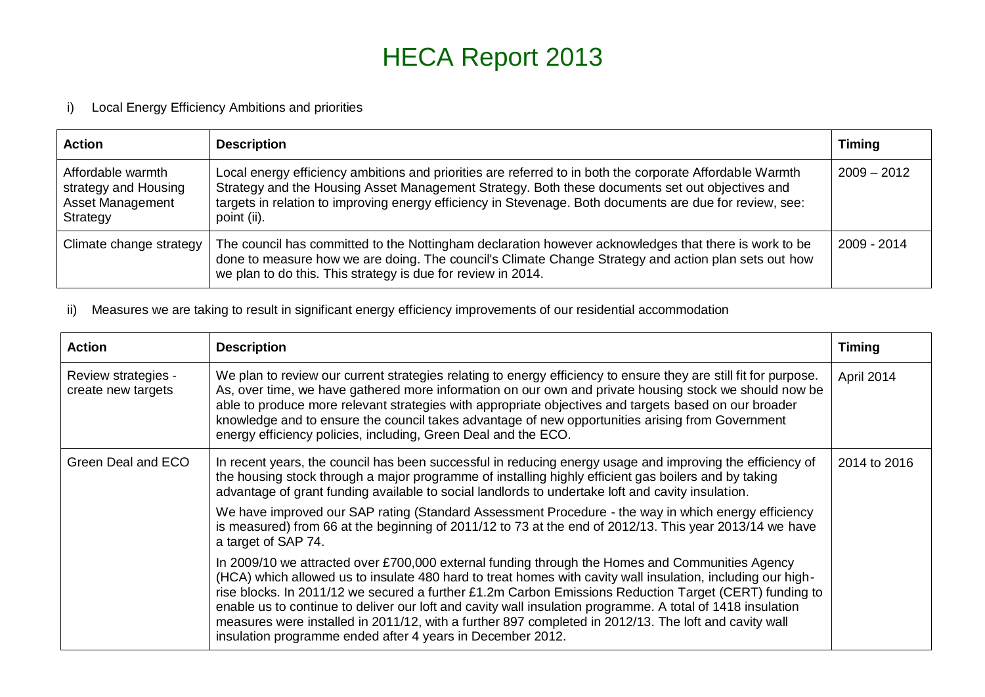## HECA Report 2013

## i) Local Energy Efficiency Ambitions and priorities

| <b>Action</b>                                                                    | <b>Description</b>                                                                                                                                                                                                                                                                                                                     | <b>Timing</b> |
|----------------------------------------------------------------------------------|----------------------------------------------------------------------------------------------------------------------------------------------------------------------------------------------------------------------------------------------------------------------------------------------------------------------------------------|---------------|
| Affordable warmth<br>strategy and Housing<br><b>Asset Management</b><br>Strategy | Local energy efficiency ambitions and priorities are referred to in both the corporate Affordable Warmth<br>Strategy and the Housing Asset Management Strategy. Both these documents set out objectives and<br>targets in relation to improving energy efficiency in Stevenage. Both documents are due for review, see:<br>point (ii). | $2009 - 2012$ |
| Climate change strategy                                                          | The council has committed to the Nottingham declaration however acknowledges that there is work to be<br>done to measure how we are doing. The council's Climate Change Strategy and action plan sets out how<br>we plan to do this. This strategy is due for review in 2014.                                                          | 2009 - 2014   |

ii) Measures we are taking to result in significant energy efficiency improvements of our residential accommodation

| <b>Action</b>                             | <b>Description</b>                                                                                                                                                                                                                                                                                                                                                                                                                                                                                                                                                                                            | <b>Timing</b> |
|-------------------------------------------|---------------------------------------------------------------------------------------------------------------------------------------------------------------------------------------------------------------------------------------------------------------------------------------------------------------------------------------------------------------------------------------------------------------------------------------------------------------------------------------------------------------------------------------------------------------------------------------------------------------|---------------|
| Review strategies -<br>create new targets | We plan to review our current strategies relating to energy efficiency to ensure they are still fit for purpose.<br>As, over time, we have gathered more information on our own and private housing stock we should now be<br>able to produce more relevant strategies with appropriate objectives and targets based on our broader<br>knowledge and to ensure the council takes advantage of new opportunities arising from Government<br>energy efficiency policies, including, Green Deal and the ECO.                                                                                                     | April 2014    |
| Green Deal and ECO                        | In recent years, the council has been successful in reducing energy usage and improving the efficiency of<br>the housing stock through a major programme of installing highly efficient gas boilers and by taking<br>advantage of grant funding available to social landlords to undertake loft and cavity insulation.                                                                                                                                                                                                                                                                                        | 2014 to 2016  |
|                                           | We have improved our SAP rating (Standard Assessment Procedure - the way in which energy efficiency<br>is measured) from 66 at the beginning of 2011/12 to 73 at the end of 2012/13. This year 2013/14 we have<br>a target of SAP 74.                                                                                                                                                                                                                                                                                                                                                                         |               |
|                                           | In 2009/10 we attracted over £700,000 external funding through the Homes and Communities Agency<br>(HCA) which allowed us to insulate 480 hard to treat homes with cavity wall insulation, including our high-<br>rise blocks. In 2011/12 we secured a further £1.2m Carbon Emissions Reduction Target (CERT) funding to<br>enable us to continue to deliver our loft and cavity wall insulation programme. A total of 1418 insulation<br>measures were installed in 2011/12, with a further 897 completed in 2012/13. The loft and cavity wall<br>insulation programme ended after 4 years in December 2012. |               |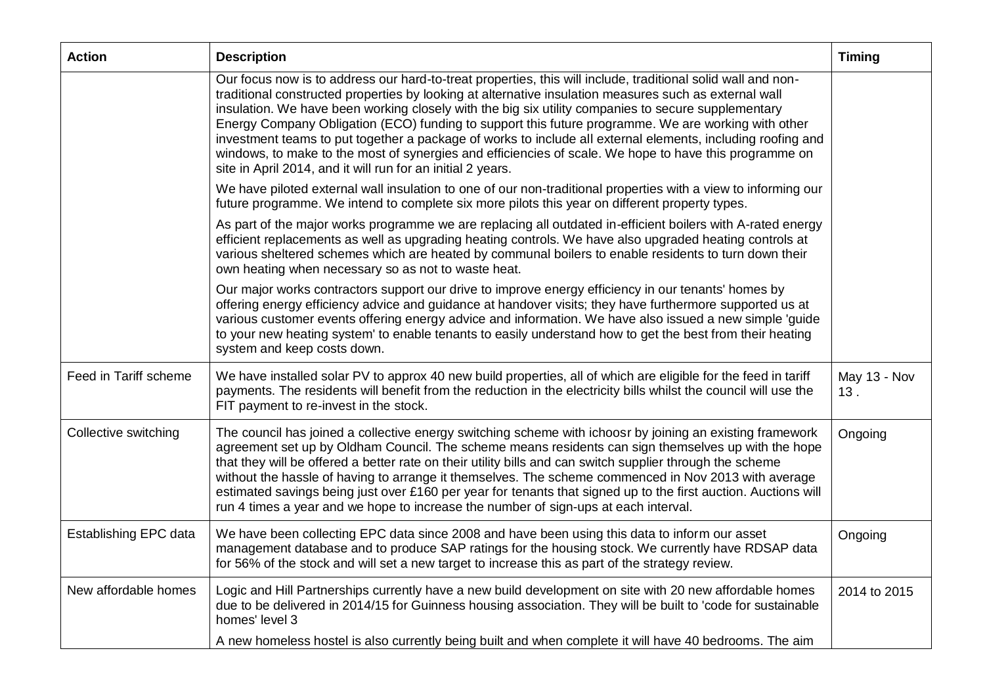| <b>Action</b>         | <b>Description</b>                                                                                                                                                                                                                                                                                                                                                                                                                                                                                                                                                                                                                                                                                                           | <b>Timing</b>       |
|-----------------------|------------------------------------------------------------------------------------------------------------------------------------------------------------------------------------------------------------------------------------------------------------------------------------------------------------------------------------------------------------------------------------------------------------------------------------------------------------------------------------------------------------------------------------------------------------------------------------------------------------------------------------------------------------------------------------------------------------------------------|---------------------|
|                       | Our focus now is to address our hard-to-treat properties, this will include, traditional solid wall and non-<br>traditional constructed properties by looking at alternative insulation measures such as external wall<br>insulation. We have been working closely with the big six utility companies to secure supplementary<br>Energy Company Obligation (ECO) funding to support this future programme. We are working with other<br>investment teams to put together a package of works to include all external elements, including roofing and<br>windows, to make to the most of synergies and efficiencies of scale. We hope to have this programme on<br>site in April 2014, and it will run for an initial 2 years. |                     |
|                       | We have piloted external wall insulation to one of our non-traditional properties with a view to informing our<br>future programme. We intend to complete six more pilots this year on different property types.                                                                                                                                                                                                                                                                                                                                                                                                                                                                                                             |                     |
|                       | As part of the major works programme we are replacing all outdated in-efficient boilers with A-rated energy<br>efficient replacements as well as upgrading heating controls. We have also upgraded heating controls at<br>various sheltered schemes which are heated by communal boilers to enable residents to turn down their<br>own heating when necessary so as not to waste heat.                                                                                                                                                                                                                                                                                                                                       |                     |
|                       | Our major works contractors support our drive to improve energy efficiency in our tenants' homes by<br>offering energy efficiency advice and guidance at handover visits; they have furthermore supported us at<br>various customer events offering energy advice and information. We have also issued a new simple 'guide<br>to your new heating system' to enable tenants to easily understand how to get the best from their heating<br>system and keep costs down.                                                                                                                                                                                                                                                       |                     |
| Feed in Tariff scheme | We have installed solar PV to approx 40 new build properties, all of which are eligible for the feed in tariff<br>payments. The residents will benefit from the reduction in the electricity bills whilst the council will use the<br>FIT payment to re-invest in the stock.                                                                                                                                                                                                                                                                                                                                                                                                                                                 | May 13 - Nov<br>13. |
| Collective switching  | The council has joined a collective energy switching scheme with ichoosr by joining an existing framework<br>agreement set up by Oldham Council. The scheme means residents can sign themselves up with the hope<br>that they will be offered a better rate on their utility bills and can switch supplier through the scheme<br>without the hassle of having to arrange it themselves. The scheme commenced in Nov 2013 with average<br>estimated savings being just over £160 per year for tenants that signed up to the first auction. Auctions will<br>run 4 times a year and we hope to increase the number of sign-ups at each interval.                                                                               | Ongoing             |
| Establishing EPC data | We have been collecting EPC data since 2008 and have been using this data to inform our asset<br>management database and to produce SAP ratings for the housing stock. We currently have RDSAP data<br>for 56% of the stock and will set a new target to increase this as part of the strategy review.                                                                                                                                                                                                                                                                                                                                                                                                                       | Ongoing             |
| New affordable homes  | Logic and Hill Partnerships currently have a new build development on site with 20 new affordable homes<br>due to be delivered in 2014/15 for Guinness housing association. They will be built to 'code for sustainable<br>homes' level 3                                                                                                                                                                                                                                                                                                                                                                                                                                                                                    | 2014 to 2015        |
|                       | A new homeless hostel is also currently being built and when complete it will have 40 bedrooms. The aim                                                                                                                                                                                                                                                                                                                                                                                                                                                                                                                                                                                                                      |                     |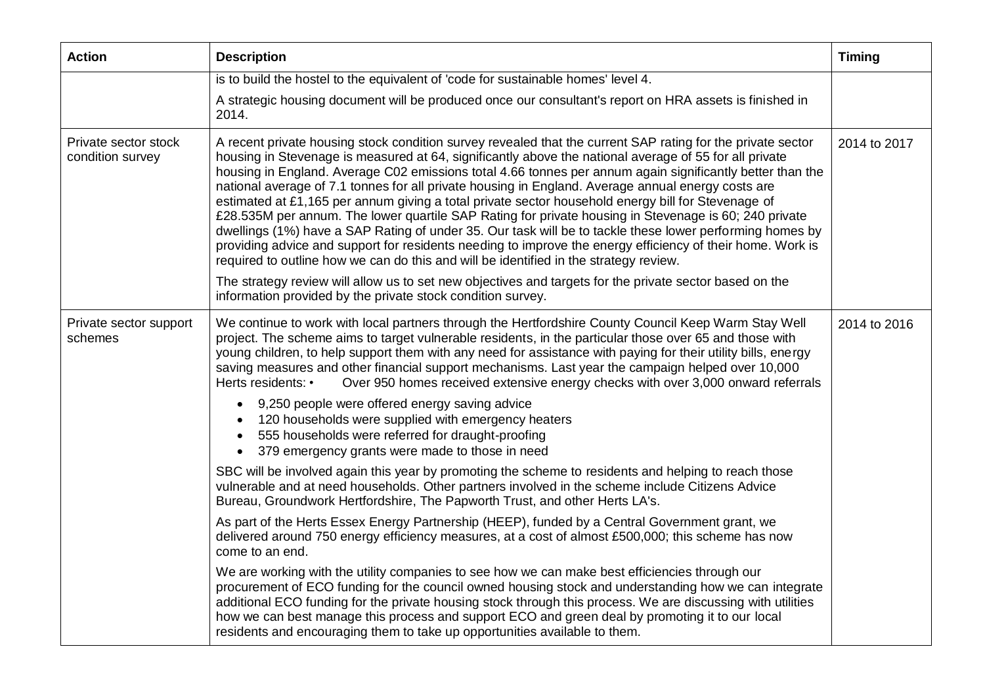| <b>Action</b>                            | <b>Description</b>                                                                                                                                                                                                                                                                                                                                                                                                                                                                                                                                                                                                                                                                                                                                                                                                                                                                                                                                                         | <b>Timing</b> |
|------------------------------------------|----------------------------------------------------------------------------------------------------------------------------------------------------------------------------------------------------------------------------------------------------------------------------------------------------------------------------------------------------------------------------------------------------------------------------------------------------------------------------------------------------------------------------------------------------------------------------------------------------------------------------------------------------------------------------------------------------------------------------------------------------------------------------------------------------------------------------------------------------------------------------------------------------------------------------------------------------------------------------|---------------|
|                                          | is to build the hostel to the equivalent of 'code for sustainable homes' level 4.                                                                                                                                                                                                                                                                                                                                                                                                                                                                                                                                                                                                                                                                                                                                                                                                                                                                                          |               |
|                                          | A strategic housing document will be produced once our consultant's report on HRA assets is finished in<br>2014.                                                                                                                                                                                                                                                                                                                                                                                                                                                                                                                                                                                                                                                                                                                                                                                                                                                           |               |
| Private sector stock<br>condition survey | A recent private housing stock condition survey revealed that the current SAP rating for the private sector<br>housing in Stevenage is measured at 64, significantly above the national average of 55 for all private<br>housing in England. Average C02 emissions total 4.66 tonnes per annum again significantly better than the<br>national average of 7.1 tonnes for all private housing in England. Average annual energy costs are<br>estimated at £1,165 per annum giving a total private sector household energy bill for Stevenage of<br>£28.535M per annum. The lower quartile SAP Rating for private housing in Stevenage is 60; 240 private<br>dwellings (1%) have a SAP Rating of under 35. Our task will be to tackle these lower performing homes by<br>providing advice and support for residents needing to improve the energy efficiency of their home. Work is<br>required to outline how we can do this and will be identified in the strategy review. | 2014 to 2017  |
|                                          | The strategy review will allow us to set new objectives and targets for the private sector based on the<br>information provided by the private stock condition survey.                                                                                                                                                                                                                                                                                                                                                                                                                                                                                                                                                                                                                                                                                                                                                                                                     |               |
| Private sector support<br>schemes        | We continue to work with local partners through the Hertfordshire County Council Keep Warm Stay Well<br>project. The scheme aims to target vulnerable residents, in the particular those over 65 and those with<br>young children, to help support them with any need for assistance with paying for their utility bills, energy<br>saving measures and other financial support mechanisms. Last year the campaign helped over 10,000<br>Herts residents: •<br>Over 950 homes received extensive energy checks with over 3,000 onward referrals                                                                                                                                                                                                                                                                                                                                                                                                                            | 2014 to 2016  |
|                                          | 9,250 people were offered energy saving advice<br>$\bullet$<br>120 households were supplied with emergency heaters<br>555 households were referred for draught-proofing<br>$\bullet$<br>379 emergency grants were made to those in need<br>$\bullet$                                                                                                                                                                                                                                                                                                                                                                                                                                                                                                                                                                                                                                                                                                                       |               |
|                                          | SBC will be involved again this year by promoting the scheme to residents and helping to reach those<br>vulnerable and at need households. Other partners involved in the scheme include Citizens Advice<br>Bureau, Groundwork Hertfordshire, The Papworth Trust, and other Herts LA's.                                                                                                                                                                                                                                                                                                                                                                                                                                                                                                                                                                                                                                                                                    |               |
|                                          | As part of the Herts Essex Energy Partnership (HEEP), funded by a Central Government grant, we<br>delivered around 750 energy efficiency measures, at a cost of almost £500,000; this scheme has now<br>come to an end.                                                                                                                                                                                                                                                                                                                                                                                                                                                                                                                                                                                                                                                                                                                                                    |               |
|                                          | We are working with the utility companies to see how we can make best efficiencies through our<br>procurement of ECO funding for the council owned housing stock and understanding how we can integrate<br>additional ECO funding for the private housing stock through this process. We are discussing with utilities<br>how we can best manage this process and support ECO and green deal by promoting it to our local<br>residents and encouraging them to take up opportunities available to them.                                                                                                                                                                                                                                                                                                                                                                                                                                                                    |               |